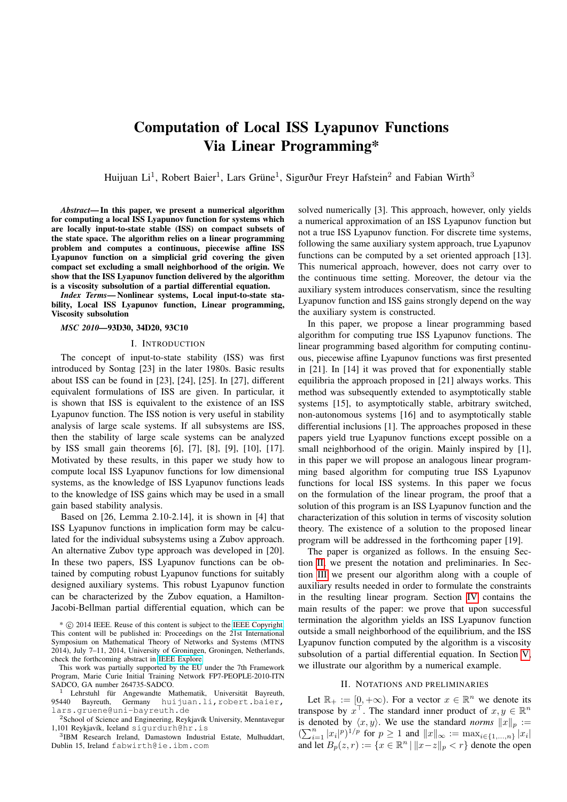# Computation of Local ISS Lyapunov Functions Via Linear Programming\*

Huijuan Li<sup>1</sup>, Robert Baier<sup>1</sup>, Lars Grüne<sup>1</sup>, Sigurður Freyr Hafstein<sup>2</sup> and Fabian Wirth<sup>3</sup>

*Abstract*— In this paper, we present a numerical algorithm for computing a local ISS Lyapunov function for systems which are locally input-to-state stable (ISS) on compact subsets of the state space. The algorithm relies on a linear programming problem and computes a continuous, piecewise affine ISS Lyapunov function on a simplicial grid covering the given compact set excluding a small neighborhood of the origin. We show that the ISS Lyapunov function delivered by the algorithm is a viscosity subsolution of a partial differential equation.

*Index Terms*— Nonlinear systems, Local input-to-state stability, Local ISS Lyapunov function, Linear programming, Viscosity subsolution

## *MSC 2010—*93D30, 34D20, 93C10

### I. INTRODUCTION

The concept of input-to-state stability (ISS) was first introduced by Sontag [23] in the later 1980s. Basic results about ISS can be found in [23], [24], [25]. In [27], different equivalent formulations of ISS are given. In particular, it is shown that ISS is equivalent to the existence of an ISS Lyapunov function. The ISS notion is very useful in stability analysis of large scale systems. If all subsystems are ISS, then the stability of large scale systems can be analyzed by ISS small gain theorems [6], [7], [8], [9], [10], [17]. Motivated by these results, in this paper we study how to compute local ISS Lyapunov functions for low dimensional systems, as the knowledge of ISS Lyapunov functions leads to the knowledge of ISS gains which may be used in a small gain based stability analysis.

Based on [26, Lemma 2.10-2.14], it is shown in [4] that ISS Lyapunov functions in implication form may be calculated for the individual subsystems using a Zubov approach. An alternative Zubov type approach was developed in [20]. In these two papers, ISS Lyapunov functions can be obtained by computing robust Lyapunov functions for suitably designed auxiliary systems. This robust Lyapunov function can be characterized by the Zubov equation, a Hamilton-Jacobi-Bellman partial differential equation, which can be

3 IBM Research Ireland, Damastown Industrial Estate, Mulhuddart, Dublin 15, Ireland fabwirth@ie.ibm.com

solved numerically [3]. This approach, however, only yields a numerical approximation of an ISS Lyapunov function but not a true ISS Lyapunov function. For discrete time systems, following the same auxiliary system approach, true Lyapunov functions can be computed by a set oriented approach [13]. This numerical approach, however, does not carry over to the continuous time setting. Moreover, the detour via the auxiliary system introduces conservatism, since the resulting Lyapunov function and ISS gains strongly depend on the way the auxiliary system is constructed.

In this paper, we propose a linear programming based algorithm for computing true ISS Lyapunov functions. The linear programming based algorithm for computing continuous, piecewise affine Lyapunov functions was first presented in [21]. In [14] it was proved that for exponentially stable equilibria the approach proposed in [21] always works. This method was subsequently extended to asymptotically stable systems [15], to asymptotically stable, arbitrary switched, non-autonomous systems [16] and to asymptotically stable differential inclusions [1]. The approaches proposed in these papers yield true Lyapunov functions except possible on a small neighborhood of the origin. Mainly inspired by [1], in this paper we will propose an analogous linear programming based algorithm for computing true ISS Lyapunov functions for local ISS systems. In this paper we focus on the formulation of the linear program, the proof that a solution of this program is an ISS Lyapunov function and the characterization of this solution in terms of viscosity solution theory. The existence of a solution to the proposed linear program will be addressed in the forthcoming paper [19].

The paper is organized as follows. In the ensuing Section [II,](#page-0-0) we present the notation and preliminaries. In Section [III](#page-2-0) we present our algorithm along with a couple of auxiliary results needed in order to formulate the constraints in the resulting linear program. Section [IV](#page-4-0) contains the main results of the paper: we prove that upon successful termination the algorithm yields an ISS Lyapunov function outside a small neighborhood of the equilibrium, and the ISS Lyapunov function computed by the algorithm is a viscosity subsolution of a partial differential equation. In Section [V,](#page-5-0) we illustrate our algorithm by a numerical example.

## II. NOTATIONS AND PRELIMINARIES

<span id="page-0-0"></span>Let  $\mathbb{R}_+ := [0, +\infty)$ . For a vector  $x \in \mathbb{R}^n$  we denote its transpose by  $x^{\top}$ . The standard inner product of  $x, y \in \mathbb{R}^n$ is denoted by  $\langle x, y \rangle$ . We use the standard *norms*  $||x||_p :=$  $(\sum_{i=1}^n |x_i|^p)^{1/p}$  for  $p \ge 1$  and  $||x||_{\infty} := \max_{i \in \{1, ..., n\}} |x_i|$ and let  $B_p(z,r) := \{x \in \mathbb{R}^n \mid ||x-z||_p < r\}$  denote the open

<sup>\*</sup> c 2014 IEEE. Reuse of this content is subject to the [IEEE Copyright.](http://www.ieee.org/publications_standards/publications/rights/copyrightmain.html) This content will be published in: Proceedings on the 21st International Symposium on Mathematical Theory of Networks and Systems (MTNS 2014), July 7–11, 2014, University of Groningen, Groningen, Netherlands, check the forthcoming abstract in [IEEE Explore.](http://ieeexplore.ieee.org/Xplore/)

This work was partially supported by the EU under the 7th Framework Program, Marie Curie Initial Training Network FP7-PEOPLE-2010-ITN SADCO, GA number 264735-SADCO.

 $1$  Lehrstuhl für Angewandte Mathematik, Universität Bayreuth, 95440 Bayreuth, Germany huijuan.li, robert.baier, lars.gruene@uni-bayreuth.de

<sup>&</sup>lt;sup>2</sup>School of Science and Engineering, Reykjavík University, Menntavegur 1,101 Reykjavík, Iceland sigurdurh@hr.is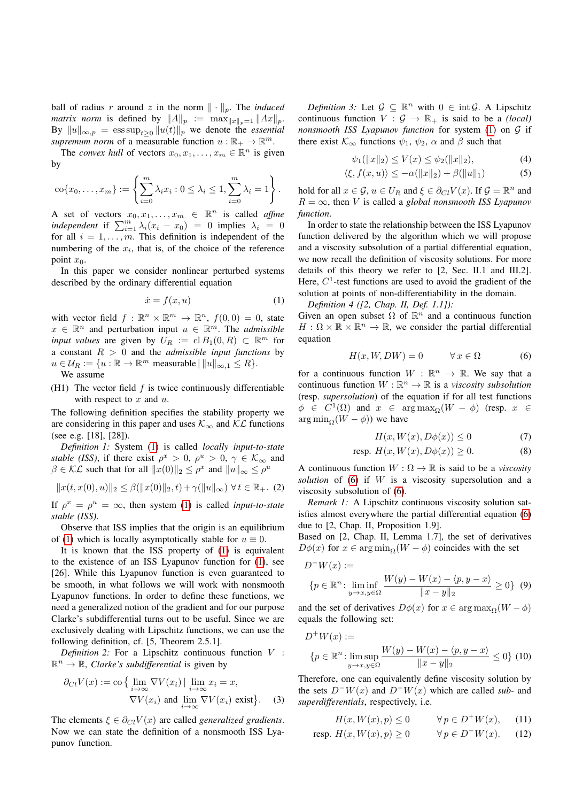ball of radius r around z in the norm  $\|\cdot\|_p$ . The *induced matrix norm* is defined by  $||A||_p := \max_{||x||_p=1} ||Ax||_p$ . By  $||u||_{\infty,p} = \operatorname{ess} \sup_{t>0} ||u(t)||_p$  we denote the *essential supremum norm* of a measurable function  $u : \mathbb{R}_+ \to \mathbb{R}^m$ .

The *convex hull* of vectors  $x_0, x_1, \ldots, x_m \in \mathbb{R}^n$  is given by

$$
\operatorname{co}\{x_0,\ldots,x_m\} := \left\{\sum_{i=0}^m \lambda_i x_i : 0 \le \lambda_i \le 1, \sum_{i=0}^m \lambda_i = 1\right\}.
$$

A set of vectors  $x_0, x_1, \ldots, x_m \in \mathbb{R}^n$  is called *affine independent* if  $\sum_{i=1}^{m} \lambda_i (x_i - x_0) = 0$  implies  $\lambda_i = 0$ for all  $i = 1, \ldots, m$ . This definition is independent of the numbering of the  $x_i$ , that is, of the choice of the reference point  $x_0$ .

In this paper we consider nonlinear perturbed systems described by the ordinary differential equation

<span id="page-1-0"></span>
$$
\dot{x} = f(x, u) \tag{1}
$$

with vector field  $f : \mathbb{R}^n \times \mathbb{R}^m \to \mathbb{R}^n$ ,  $f(0,0) = 0$ , state  $x \in \mathbb{R}^n$  and perturbation input  $u \in \mathbb{R}^m$ . The *admissible input values* are given by  $U_R := \text{cl } B_1(0,R) \subset \mathbb{R}^m$  for a constant R > 0 and the *admissible input functions* by  $u \in \mathcal{U}_R := \{u : \mathbb{R} \to \mathbb{R}^m \text{ measurable } | \|u\|_{\infty, 1} \leq R \}.$ 

We assume

(H1) The vector field  $f$  is twice continuously differentiable with respect to  $x$  and  $u$ .

The following definition specifies the stability property we are considering in this paper and uses  $\mathcal{K}_{\infty}$  and  $\mathcal{KL}$  functions (see e.g. [18], [28]).

*Definition 1:* System [\(1\)](#page-1-0) is called *locally input-to-state stable (ISS)*, if there exist  $\rho^x > 0$ ,  $\rho^u > 0$ ,  $\gamma \in \mathcal{K}_{\infty}$  and  $\beta \in \mathcal{KL}$  such that for all  $||x(0)||_2 \leq \rho^x$  and  $||u||_{\infty} \leq \rho^u$ 

$$
||x(t, x(0), u)||_2 \leq \beta(||x(0)||_2, t) + \gamma(||u||_{\infty}) \ \forall t \in \mathbb{R}_+.
$$
 (2)

If  $\rho^x = \rho^u = \infty$ , then system [\(1\)](#page-1-0) is called *input-to-state stable (ISS)*.

Observe that ISS implies that the origin is an equilibrium of [\(1\)](#page-1-0) which is locally asymptotically stable for  $u \equiv 0$ .

It is known that the ISS property of [\(1\)](#page-1-0) is equivalent to the existence of an ISS Lyapunov function for [\(1\)](#page-1-0), see [26]. While this Lyapunov function is even guaranteed to be smooth, in what follows we will work with nonsmooth Lyapunov functions. In order to define these functions, we need a generalized notion of the gradient and for our purpose Clarke's subdifferential turns out to be useful. Since we are exclusively dealing with Lipschitz functions, we can use the following definition, cf. [5, Theorem 2.5.1].

*Definition 2:* For a Lipschitz continuous function V :  $\mathbb{R}^n \to \mathbb{R}$ , *Clarke's subdifferential* is given by

$$
\partial_{Cl} V(x) := \text{co} \{ \lim_{i \to \infty} \nabla V(x_i) \mid \lim_{i \to \infty} x_i = x, \nabla V(x_i) \text{ and } \lim_{i \to \infty} \nabla V(x_i) \text{ exist} \}.
$$
 (3)

The elements  $\xi \in \partial_{Cl} V(x)$  are called *generalized gradients*. Now we can state the definition of a nonsmooth ISS Lyapunov function.

*Definition 3:* Let  $\mathcal{G} \subseteq \mathbb{R}^n$  with  $0 \in \text{int } \mathcal{G}$ . A Lipschitz continuous function  $V : \mathcal{G} \to \mathbb{R}_+$  is said to be a *(local) nonsmooth ISS Lyapunov function* for system [\(1\)](#page-1-0) on G if there exist  $\mathcal{K}_{\infty}$  functions  $\psi_1$ ,  $\psi_2$ ,  $\alpha$  and  $\beta$  such that

<span id="page-1-3"></span><span id="page-1-2"></span>
$$
\psi_1(\|x\|_2) \le V(x) \le \psi_2(\|x\|_2),\tag{4}
$$

$$
\langle \xi, f(x, u) \rangle \le -\alpha(\|x\|_2) + \beta(\|u\|_1) \tag{5}
$$

hold for all  $x \in \mathcal{G}$ ,  $u \in U_R$  and  $\xi \in \partial_{Cl} V(x)$ . If  $\mathcal{G} = \mathbb{R}^n$  and  $R = \infty$ , then V is called a *global nonsmooth ISS Lyapunov function*.

In order to state the relationship between the ISS Lyapunov function delivered by the algorithm which we will propose and a viscosity subsolution of a partial differential equation, we now recall the definition of viscosity solutions. For more details of this theory we refer to [2, Sec. II.1 and III.2]. Here,  $C<sup>1</sup>$ -test functions are used to avoid the gradient of the solution at points of non-differentiability in the domain.

*Definition 4 ([2, Chap. II, Def. 1.1]):*

Given an open subset  $\Omega$  of  $\mathbb{R}^n$  and a continuous function  $H: \Omega \times \mathbb{R} \times \mathbb{R}^n \to \mathbb{R}$ , we consider the partial differential equation

<span id="page-1-1"></span>
$$
H(x, W, DW) = 0 \qquad \forall x \in \Omega \tag{6}
$$

for a continuous function  $W : \mathbb{R}^n \to \mathbb{R}$ . We say that a continuous function  $W : \mathbb{R}^n \to \mathbb{R}$  is a *viscosity subsolution* (resp. *supersolution*) of the equation if for all test functions  $\phi \in C^1(\Omega)$  and  $x \in \arg\max_{\Omega}(W - \phi)$  (resp.  $x \in$  $\arg \min_{\Omega} (W - \phi)$ ) we have

$$
H(x, W(x), D\phi(x)) \le 0 \tag{7}
$$

$$
resp. H(x, W(x), D\phi(x)) \ge 0.
$$
 (8)

A continuous function  $W : \Omega \to \mathbb{R}$  is said to be a *viscosity solution* of [\(6\)](#page-1-1) if W is a viscosity supersolution and a viscosity subsolution of [\(6\)](#page-1-1).

*Remark 1:* A Lipschitz continuous viscosity solution satisfies almost everywhere the partial differential equation [\(6\)](#page-1-1) due to [2, Chap. II, Proposition 1.9].

Based on [2, Chap. II, Lemma 1.7], the set of derivatives  $D\phi(x)$  for  $x \in \arg \min_{\Omega}(W - \phi)$  coincides with the set

$$
D^{-}W(x) :=
$$
  
\n
$$
\{p \in \mathbb{R}^n : \liminf_{y \to x, y \in \Omega} \frac{W(y) - W(x) - \langle p, y - x \rangle}{\|x - y\|_2} \ge 0\}
$$
 (9)

and the set of derivatives  $D\phi(x)$  for  $x \in \arg \max_{\Omega}(W - \phi)$ equals the following set:

$$
D^+W(x) :=
$$
  
\n
$$
\{p \in \mathbb{R}^n : \limsup_{y \to x, y \in \Omega} \frac{W(y) - W(x) - \langle p, y - x \rangle}{\|x - y\|_2} \le 0\}
$$
 (10)

Therefore, one can equivalently define viscosity solution by the sets  $D-W(x)$  and  $D+W(x)$  which are called *sub*- and *superdifferentials*, respectively, i.e.

$$
H(x, W(x), p) \le 0 \qquad \forall p \in D^{+}W(x), \quad (11)
$$

<span id="page-1-4"></span>
$$
resp. H(x, W(x), p) \ge 0 \qquad \forall p \in D^{-}W(x). \tag{12}
$$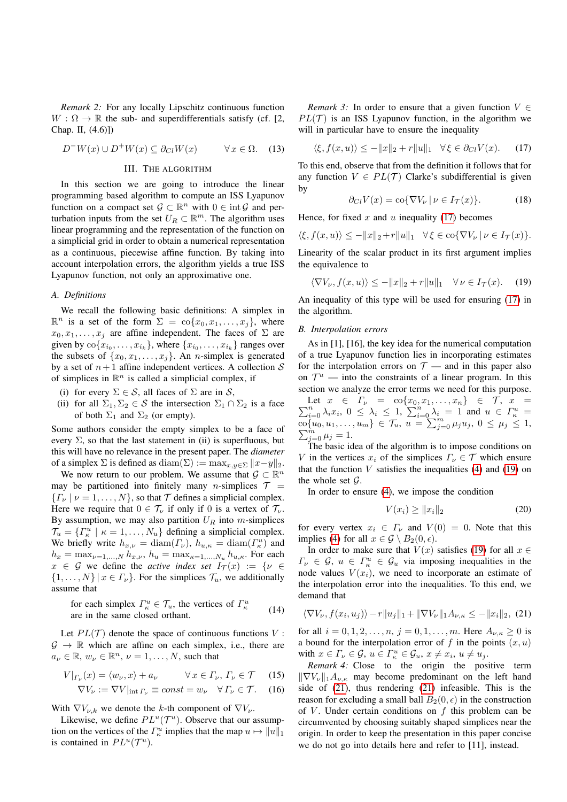*Remark 2:* For any locally Lipschitz continuous function  $W : \Omega \to \mathbb{R}$  the sub- and superdifferentials satisfy (cf. [2, Chap. II, (4.6)])

$$
D^{-}W(x) \cup D^{+}W(x) \subseteq \partial_{Cl}W(x) \qquad \forall x \in \Omega. \quad (13)
$$
  
III. THE ALGORITHM

<span id="page-2-0"></span>In this section we are going to introduce the linear programming based algorithm to compute an ISS Lyapunov function on a compact set  $\mathcal{G} \subset \mathbb{R}^n$  with  $0 \in \text{int } \mathcal{G}$  and perturbation inputs from the set  $U_R \subset \mathbb{R}^m$ . The algorithm uses linear programming and the representation of the function on a simplicial grid in order to obtain a numerical representation as a continuous, piecewise affine function. By taking into account interpolation errors, the algorithm yields a true ISS Lyapunov function, not only an approximative one.

## *A. Definitions*

We recall the following basic definitions: A simplex in  $\mathbb{R}^n$  is a set of the form  $\Sigma = \text{co}\{x_0, x_1, \ldots, x_j\}$ , where  $x_0, x_1, \ldots, x_j$  are affine independent. The faces of  $\Sigma$  are given by  $\text{co}\{x_{i_0}, \ldots, x_{i_k}\}$ , where  $\{x_{i_0}, \ldots, x_{i_k}\}$  ranges over the subsets of  $\{x_0, x_1, \ldots, x_j\}$ . An *n*-simplex is generated by a set of  $n+1$  affine independent vertices. A collection S of simplices in  $\mathbb{R}^n$  is called a simplicial complex, if

- (i) for every  $\Sigma \in \mathcal{S}$ , all faces of  $\Sigma$  are in  $\mathcal{S}$ ,
- (ii) for all  $\Sigma_1, \Sigma_2 \in S$  the intersection  $\Sigma_1 \cap \Sigma_2$  is a face of both  $\Sigma_1$  and  $\Sigma_2$  (or empty).

Some authors consider the empty simplex to be a face of every  $\Sigma$ , so that the last statement in (ii) is superfluous, but this will have no relevance in the present paper. The *diameter* of a simplex  $\Sigma$  is defined as diam( $\Sigma$ ) := max<sub>x,y∈</sub> $\Sigma$  ||x−y||<sub>2</sub>.

We now return to our problem. We assume that  $\mathcal{G} \subset \mathbb{R}^n$ may be partitioned into finitely many *n*-simplices  $T =$  ${T_\nu | \nu = 1, ..., N}$ , so that T defines a simplicial complex. Here we require that  $0 \in \mathcal{T}_{\nu}$  if only if 0 is a vertex of  $\mathcal{T}_{\nu}$ . By assumption, we may also partition  $U_R$  into m-simplices  $\mathcal{T}_u = \{ \Gamma_{\kappa}^u \mid \kappa = 1, \ldots, N_u \}$  defining a simplicial complex. We briefly write  $h_{x,\nu} = \text{diam}(\Gamma_{\nu}), h_{u,\kappa} = \text{diam}(\Gamma_{\kappa}^u)$  and  $h_x = \max_{\nu=1,...,N} h_{x,\nu}, h_u = \max_{\kappa=1,...,N_u} h_{u,\kappa}.$  For each  $x \in \mathcal{G}$  we define the *active index set*  $I_{\mathcal{T}}(x) := \{v \in$  $\{1, \ldots, N\} | x \in \Gamma_{\nu} \}.$  For the simplices  $\mathcal{T}_{u}$ , we additionally assume that

for each simplex 
$$
\Gamma_{\kappa}^u \in \mathcal{T}_u
$$
, the vertices of  $\Gamma_{\kappa}^u$   
are in the same closed orthant. (14)

Let  $PL(\mathcal{T})$  denote the space of continuous functions V:  $\mathcal{G} \to \mathbb{R}$  which are affine on each simplex, i.e., there are  $a_{\nu} \in \mathbb{R}, w_{\nu} \in \mathbb{R}^n, \nu = 1, \dots, N$ , such that

$$
V|_{\Gamma_{\nu}}(x) = \langle w_{\nu}, x \rangle + a_{\nu} \qquad \forall x \in \Gamma_{\nu}, \Gamma_{\nu} \in \mathcal{T} \quad (15)
$$

$$
\nabla V_{\nu} := \nabla V|_{\text{int } \Gamma_{\nu}} \equiv const = w_{\nu} \quad \forall \Gamma_{\nu} \in \mathcal{T}.
$$
 (16)

With  $\nabla V_{\nu,k}$  we denote the k-th component of  $\nabla V_{\nu}$ .

<span id="page-2-6"></span>Likewise, we define  $PL^u(\mathcal{T}^u)$ . Observe that our assumption on the vertices of the  $\Gamma_{\kappa}^u$  implies that the map  $u \mapsto ||u||_1$ is contained in  $PL^u(\mathcal{T}^u)$ .

*Remark 3:* In order to ensure that a given function  $V \in$  $PL(\mathcal{T})$  is an ISS Lyapunov function, in the algorithm we will in particular have to ensure the inequality

$$
\langle \xi, f(x, u) \rangle \le -\|x\|_2 + r\|u\|_1 \quad \forall \xi \in \partial_{Cl} V(x). \tag{17}
$$

To this end, observe that from the definition it follows that for any function  $V \in PL(T)$  Clarke's subdifferential is given by

<span id="page-2-1"></span>
$$
\partial_{Cl} V(x) = \text{co}\{\nabla V_{\nu} \mid \nu \in I_{\mathcal{T}}(x)\}.
$$
 (18)

Hence, for fixed  $x$  and  $u$  inequality [\(17\)](#page-2-1) becomes

$$
\langle \xi, f(x, u) \rangle \le -\|x\|_2 + r\|u\|_1 \quad \forall \xi \in \text{co}\{\nabla V_{\nu} \mid \nu \in I_{\mathcal{T}}(x)\}.
$$

Linearity of the scalar product in its first argument implies the equivalence to

<span id="page-2-2"></span>
$$
\langle \nabla V_{\nu}, f(x, u) \rangle \le -\|x\|_2 + r\|u\|_1 \quad \forall \nu \in I_{\mathcal{T}}(x). \tag{19}
$$

An inequality of this type will be used for ensuring [\(17\)](#page-2-1) in the algorithm.

# *B. Interpolation errors*

As in [1], [16], the key idea for the numerical computation of a true Lyapunov function lies in incorporating estimates for the interpolation errors on  $\mathcal{T}$  — and in this paper also on  $\mathcal{T}^u$  — into the constraints of a linear program. In this section we analyze the error terms we need for this purpose.  $\sum$ Let  $x \in \Gamma_{\nu} = \text{co}\{x_0, x_1, \dots, x_n\} \in \mathcal{T}, x =$ <br>  $\sum_{i=0}^{n} \lambda_i x_i, 0 \leq \lambda_i \leq 1, \sum_{i=0}^{n} \lambda_i = 1$  and  $u \in \Gamma_{\kappa}^u =$  $\{c_0\}_{u_0, u_1, \ldots, u_m\} \in \mathcal{T}_u, u = \sum_{j=0}^{n-m} \mu_j u_j, 0 \leq \mu_j \leq 1,$  $\sum_{j=0}^{\widetilde{m}} \mu_j = 1.$ 

The basic idea of the algorithm is to impose conditions on V in the vertices  $x_i$  of the simplices  $\Gamma_{\nu} \in \mathcal{T}$  which ensure that the function  $V$  satisfies the inequalities [\(4\)](#page-1-2) and [\(19\)](#page-2-2) on the whole set  $\mathcal{G}$ .

In order to ensure [\(4\)](#page-1-2), we impose the condition

<span id="page-2-5"></span><span id="page-2-4"></span>
$$
V(x_i) \ge ||x_i||_2 \tag{20}
$$

for every vertex  $x_i \in \Gamma$  and  $V(0) = 0$ . Note that this implies [\(4\)](#page-1-2) for all  $x \in \mathcal{G} \setminus B_2(0, \epsilon)$ .

In order to make sure that  $V(x)$  satisfies [\(19\)](#page-2-2) for all  $x \in$  $\Gamma_{\nu} \in \mathcal{G}, u \in \Gamma_{\kappa}^u \in \mathcal{G}_u$  via imposing inequalities in the node values  $V(x_i)$ , we need to incorporate an estimate of the interpolation error into the inequalities. To this end, we demand that

<span id="page-2-3"></span>
$$
\langle \nabla V_{\nu}, f(x_i, u_j) \rangle - r \| u_j \|_1 + \| \nabla V_{\nu} \|_1 A_{\nu, \kappa} \le - \| x_i \|_2, \tag{21}
$$

for all  $i = 0, 1, 2, ..., n$ ,  $j = 0, 1, ..., m$ . Here  $A_{\nu,\kappa} \ge 0$  is a bound for the interpolation error of f in the points  $(x, u)$ with  $x \in \Gamma_{\nu} \in \mathcal{G}$ ,  $u \in \Gamma_{\kappa}^u \in \mathcal{G}_u$ ,  $x \neq x_i$ ,  $u \neq u_j$ .

*Remark 4:* Close to the origin the positive term  $\|\nabla V_{\nu}\|_{1}A_{\nu,\kappa}$  may become predominant on the left hand side of [\(21\)](#page-2-3), thus rendering [\(21\)](#page-2-3) infeasible. This is the reason for excluding a small ball  $B_2(0, \epsilon)$  in the construction of  $V$ . Under certain conditions on  $f$  this problem can be circumvented by choosing suitably shaped simplices near the origin. In order to keep the presentation in this paper concise we do not go into details here and refer to [11], instead.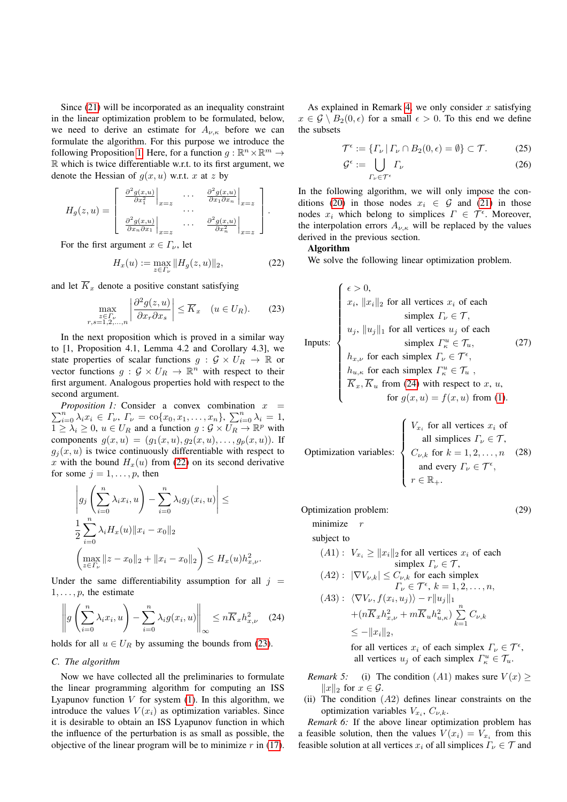Since [\(21\)](#page-2-3) will be incorporated as an inequality constraint in the linear optimization problem to be formulated, below, we need to derive an estimate for  $A_{\nu,\kappa}$  before we can formulate the algorithm. For this purpose we introduce the following Proposition [1.](#page-3-0) Here, for a function  $g : \mathbb{R}^n \times \mathbb{R}^m \to$ R which is twice differentiable w.r.t. to its first argument, we denote the Hessian of  $g(x, u)$  w.r.t. x at z by

$$
H_g(z, u) = \begin{bmatrix} \frac{\partial^2 g(x, u)}{\partial x_1^2} \Big|_{x=z} & \cdots & \frac{\partial^2 g(x, u)}{\partial x_1 \partial x_n} \Big|_{x=z} \\ \frac{\partial^2 g(x, u)}{\partial x_n \partial x_1} \Big|_{x=z} & \cdots & \frac{\partial^2 g(x, u)}{\partial x_n^2} \Big|_{x=z} \end{bmatrix}.
$$

For the first argument  $x \in \Gamma_{\nu}$ , let

<span id="page-3-1"></span>
$$
H_x(u) := \max_{z \in \Gamma_\nu} \|H_g(z, u)\|_2,\tag{22}
$$

and let  $\overline{K}_x$  denote a positive constant satisfying

<span id="page-3-2"></span>
$$
\max_{\substack{z \in \varGamma_{\nu} \\ r,s=1,2,\dots,n}} \left| \frac{\partial^2 g(z,u)}{\partial x_r \partial x_s} \right| \le \overline{K}_x \quad (u \in U_R). \tag{23}
$$

In the next proposition which is proved in a similar way to [1, Proposition 4.1, Lemma 4.2 and Corollary 4.3], we state properties of scalar functions  $g : \mathcal{G} \times U_R \to \mathbb{R}$  or vector functions  $g : \mathcal{G} \times U_R \to \mathbb{R}^n$  with respect to their first argument. Analogous properties hold with respect to the second argument.

<span id="page-3-0"></span> $\sum_{i=0}^{n} \lambda_i x_i \in \Gamma_{\nu}, \ \Gamma_{\nu} = \text{co}\{x_0, x_1, \ldots, x_n\}, \ \sum_{i=0}^{n} \lambda_i = 1,$ *Proposition 1:* Consider a convex combination  $x =$  $1 \geq \lambda_i \geq 0$ ,  $u \in U_R$  and a function  $g: \mathcal{G} \times U_R \to \mathbb{R}^p$  with components  $g(x, u) = (g_1(x, u), g_2(x, u), \dots, g_p(x, u))$ . If  $g_i(x, u)$  is twice continuously differentiable with respect to x with the bound  $H_x(u)$  from [\(22\)](#page-3-1) on its second derivative for some  $j = 1, \ldots, p$ , then

$$
\left| g_j \left( \sum_{i=0}^n \lambda_i x_i, u \right) - \sum_{i=0}^n \lambda_i g_j(x_i, u) \right| \le
$$
  

$$
\frac{1}{2} \sum_{i=0}^n \lambda_i H_x(u) \|x_i - x_0\|_2
$$
  

$$
\left( \max_{z \in \Gamma_{\nu}} \|z - x_0\|_2 + \|x_i - x_0\|_2 \right) \le H_x(u) h_{x,\nu}^2.
$$

Under the same differentiability assumption for all  $j =$  $1, \ldots, p$ , the estimate

<span id="page-3-3"></span>
$$
\left\| g\left(\sum_{i=0}^n \lambda_i x_i, u\right) - \sum_{i=0}^n \lambda_i g(x_i, u) \right\|_{\infty} \leq n \overline{K}_x h_{x,\nu}^2 \quad (24)
$$

holds for all  $u \in U_R$  by assuming the bounds from [\(23\)](#page-3-2).

# *C. The algorithm*

Now we have collected all the preliminaries to formulate the linear programming algorithm for computing an ISS Lyapunov function  $V$  for system [\(1\)](#page-1-0). In this algorithm, we introduce the values  $V(x_i)$  as optimization variables. Since it is desirable to obtain an ISS Lyapunov function in which the influence of the perturbation is as small as possible, the objective of the linear program will be to minimize  $r$  in [\(17\)](#page-2-1).

As explained in Remark [4,](#page-2-4) we only consider  $x$  satisfying  $x \in \mathcal{G} \setminus B_2(0, \epsilon)$  for a small  $\epsilon > 0$ . To this end we define the subsets

$$
\mathcal{T}^{\epsilon} := \{ \Gamma_{\nu} \, | \, \Gamma_{\nu} \cap B_2(0, \epsilon) = \emptyset \} \subset \mathcal{T}.
$$
 (25)

$$
\mathcal{G}^{\epsilon} := \bigcup_{\Gamma_{\nu} \in \mathcal{T}^{\epsilon}} \Gamma_{\nu} \tag{26}
$$

In the following algorithm, we will only impose the con-ditions [\(20\)](#page-2-5) in those nodes  $x_i \in \mathcal{G}$  and [\(21\)](#page-2-3) in those nodes  $x_i$  which belong to simplices  $\Gamma \in \mathcal{T}^{\epsilon}$ . Moreover, the interpolation errors  $A_{\nu,\kappa}$  will be replaced by the values derived in the previous section.

# Algorithm

We solve the following linear optimization problem.

$$
\begin{cases}\n\epsilon > 0, \\
x_i, \|x_i\|_2 \text{ for all vertices } x_i \text{ of each } \\
\text{simplex } \Gamma_{\nu} \in \mathcal{T}, \\
u_j, \|u_j\|_1 \text{ for all vertices } u_j \text{ of each } \\
\text{simplex } \Gamma_{\kappa}^u \in \mathcal{T}_u,\n\end{cases}
$$
\n(27)\n
$$
h_{x,\nu} \text{ for each simplex } \Gamma_{\nu} \in \mathcal{T}^{\epsilon},
$$
\n
$$
\begin{cases}\nh_{u,\kappa} \text{ for each simplex } \Gamma_{\kappa}^u \in \mathcal{T}_u, \\
\overline{K}_x, \overline{K}_u \text{ from (24) with respect to } x, u, \\
\text{for } g(x, u) = f(x, u) \text{ from (1)}.\n\end{cases}
$$

Optimization variables:

\n
$$
\begin{cases}\nV_{x_i} \text{ for all vertices } x_i \text{ of all simplices } \Gamma_{\nu} \in \mathcal{T}, \\
C_{\nu,k} \text{ for } k = 1, 2, \ldots, n \\
\text{ and every } \Gamma_{\nu} \in \mathcal{T}^{\epsilon}, \\
r \in \mathbb{R}_+.\n\end{cases}
$$
\n(28)

Optimization problem: (29)

minimize r subject to

<span id="page-3-4"></span>
$$
(A1): V_{x_i} \ge ||x_i||_2 \text{ for all vertices } x_i \text{ of each}
$$

$$
\begin{aligned}\n&\text{simplex } \Gamma_{\nu} \in \mathcal{T}, \\
(A2): \ |\nabla V_{\nu,k}| &\leq C_{\nu,k} \text{ for each simplex} \\
&\Gamma_{\nu} \in \mathcal{T}^{\epsilon}, \ k = 1, 2, \dots, n, \\
(A3): \ \langle \nabla V_{\nu}, f(x_i, u_j) \rangle - r \|u_j\|_1 \\
&\quad + (n\overline{K}_x h_{x,\nu}^2 + m\overline{K}_u h_{u,\kappa}^2) \sum_{k=1}^n C_{\nu,k} \\
&\leq -\|x_i\|_2,\n\end{aligned}
$$

for all vertices  $x_i$  of each simplex  $\Gamma_{\nu} \in \mathcal{T}^{\epsilon}$ , all vertices  $u_j$  of each simplex  $\Gamma_{\kappa}^u \in \mathcal{T}_u$ .

- *Remark 5:* (i) The condition (A1) makes sure  $V(x) \geq$  $||x||_2$  for  $x \in \mathcal{G}$ .
- (ii) The condition  $(A2)$  defines linear constraints on the optimization variables  $V_{x_i}$ ,  $C_{\nu,k}$ .

*Remark 6:* If the above linear optimization problem has a feasible solution, then the values  $V(x_i) = V_{x_i}$  from this feasible solution at all vertices  $x_i$  of all simplices  $\Gamma_{\nu} \in \mathcal{T}$  and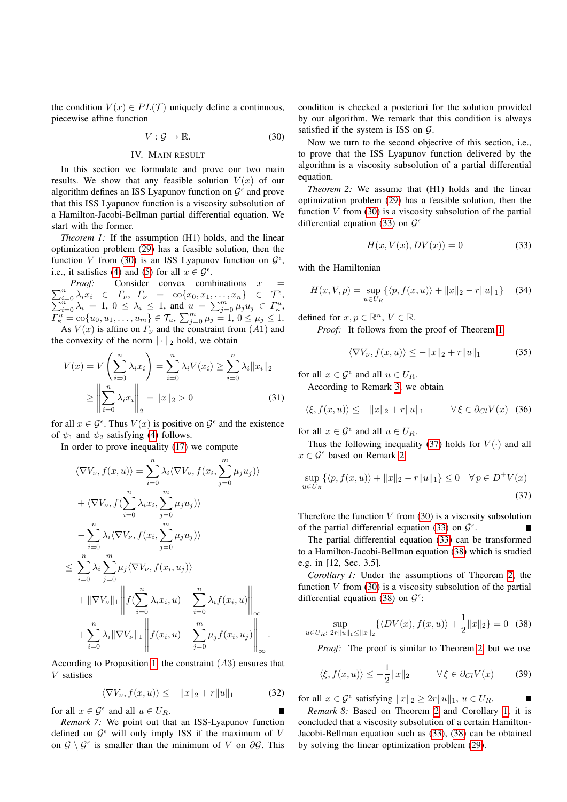the condition  $V(x) \in PL(\mathcal{T})$  uniquely define a continuous, piecewise affine function

<span id="page-4-1"></span>
$$
V: \mathcal{G} \to \mathbb{R}.\tag{30}
$$

## IV. MAIN RESULT

<span id="page-4-0"></span>In this section we formulate and prove our two main results. We show that any feasible solution  $V(x)$  of our algorithm defines an ISS Lyapunov function on  $\mathcal{G}^{\epsilon}$  and prove that this ISS Lyapunov function is a viscosity subsolution of a Hamilton-Jacobi-Bellman partial differential equation. We start with the former.

<span id="page-4-3"></span>*Theorem 1:* If the assumption (H1) holds, and the linear optimization problem [\(29\)](#page-3-4) has a feasible solution, then the function V from [\(30\)](#page-4-1) is an ISS Lyapunov function on  $\mathcal{G}^{\epsilon}$ , i.e., it satisfies [\(4\)](#page-1-2) and [\(5\)](#page-1-3) for all  $x \in \mathcal{G}^{\epsilon}$ .

 $\sum_{i=0}^{n} \lambda_i x_i \in \Gamma_{\nu}, \ \Gamma_{\nu} = \text{co}\{x_0, x_1, \dots, x_n\} \in \mathcal{T}^{\epsilon},$ <br>  $\sum_{i=0}^{n} \lambda_i = 1, \ 0 \leq \lambda_i \leq 1$ , and  $u = \sum_{j=0}^{m} \mu_j u_j \in \Gamma_{\kappa}^{u}$ , *Proof:* Consider convex combinations x  $\overline{\Gamma_{\kappa}^{u}} = \text{co}\{u_0, u_1, \ldots, u_m\} \in \mathcal{T}_u, \ \sum_{j=0}^{m} \mu_j = 1, \ 0 \leq \mu_j \leq 1.$ As  $V(x)$  is affine on  $\Gamma_{\nu}$  and the constraint from  $(A1)$  and

the convexity of the norm  $\|\cdot\|_2$  hold, we obtain

$$
V(x) = V\left(\sum_{i=0}^{n} \lambda_i x_i\right) = \sum_{i=0}^{n} \lambda_i V(x_i) \ge \sum_{i=0}^{n} \lambda_i ||x_i||_2
$$
  

$$
\ge \left\|\sum_{i=0}^{n} \lambda_i x_i\right\|_2 = ||x||_2 > 0
$$
 (31)

for all  $x \in \mathcal{G}^{\epsilon}$ . Thus  $V(x)$  is positive on  $\mathcal{G}^{\epsilon}$  and the existence of  $\psi_1$  and  $\psi_2$  satisfying [\(4\)](#page-1-2) follows.

In order to prove inequality [\(17\)](#page-2-1) we compute

$$
\langle \nabla V_{\nu}, f(x, u) \rangle = \sum_{i=0}^{n} \lambda_{i} \langle \nabla V_{\nu}, f(x_{i}, \sum_{j=0}^{m} \mu_{j} u_{j}) \rangle
$$
  
+ 
$$
\langle \nabla V_{\nu}, f(\sum_{i=0}^{n} \lambda_{i} x_{i}, \sum_{j=0}^{m} \mu_{j} u_{j}) \rangle
$$
  
- 
$$
\sum_{i=0}^{n} \lambda_{i} \langle \nabla V_{\nu}, f(x_{i}, \sum_{j=0}^{m} \mu_{j} u_{j}) \rangle
$$
  

$$
\leq \sum_{i=0}^{n} \lambda_{i} \sum_{j=0}^{m} \mu_{j} \langle \nabla V_{\nu}, f(x_{i}, u_{j}) \rangle
$$
  
+ 
$$
\|\nabla V_{\nu}\|_{1} \left\| f(\sum_{i=0}^{n} \lambda_{i} x_{i}, u) - \sum_{i=0}^{n} \lambda_{i} f(x_{i}, u) \right\|_{\infty}
$$
  
+ 
$$
\sum_{i=0}^{n} \lambda_{i} \|\nabla V_{\nu}\|_{1} \left\| f(x_{i}, u) - \sum_{j=0}^{m} \mu_{j} f(x_{i}, u_{j}) \right\|_{\infty}.
$$

According to Proposition [1,](#page-3-0) the constraint (A3) ensures that V satisfies

$$
\langle \nabla V_{\nu}, f(x, u) \rangle \le -\|x\|_2 + r\|u\|_1 \tag{32}
$$

for all  $x \in \mathcal{G}^{\epsilon}$  and all  $u \in U_R$ .

*Remark 7:* We point out that an ISS-Lyapunov function defined on  $\mathcal{G}^{\epsilon}$  will only imply ISS if the maximum of V on  $\mathcal{G} \setminus \mathcal{G}^{\epsilon}$  is smaller than the minimum of V on  $\partial \mathcal{G}$ . This

condition is checked a posteriori for the solution provided by our algorithm. We remark that this condition is always satisfied if the system is ISS on  $G$ .

Now we turn to the second objective of this section, i.e., to prove that the ISS Lyapunov function delivered by the algorithm is a viscosity subsolution of a partial differential equation.

<span id="page-4-6"></span>*Theorem 2:* We assume that (H1) holds and the linear optimization problem [\(29\)](#page-3-4) has a feasible solution, then the function  $V$  from [\(30\)](#page-4-1) is a viscosity subsolution of the partial differential equation [\(33\)](#page-4-2) on  $\mathcal{G}^{\epsilon}$ 

<span id="page-4-2"></span>
$$
H(x, V(x), DV(x)) = 0 \tag{33}
$$

with the Hamiltonian

$$
H(x, V, p) = \sup_{u \in U_R} \{ \langle p, f(x, u) \rangle + ||x||_2 - r ||u||_1 \} \quad (34)
$$

defined for  $x, p \in \mathbb{R}^n$ ,  $V \in \mathbb{R}$ .

*Proof:* It follows from the proof of Theorem [1](#page-4-3)

$$
\langle \nabla V_{\nu}, f(x, u) \rangle \le -\|x\|_2 + r\|u\|_1 \tag{35}
$$

for all  $x \in \mathcal{G}^{\epsilon}$  and all  $u \in U_R$ .

According to Remark [3,](#page-2-6) we obtain

$$
\langle \xi, f(x, u) \rangle \le -\|x\|_2 + r\|u\|_1 \qquad \forall \xi \in \partial_{Cl} V(x) \tag{36}
$$

for all  $x \in \mathcal{G}^{\epsilon}$  and all  $u \in U_R$ .

Thus the following inequality [\(37\)](#page-4-4) holds for  $V(\cdot)$  and all  $x \in \mathcal{G}^{\epsilon}$  based on Remark [2:](#page-1-4)

$$
\sup_{u \in U_R} \left\{ \langle p, f(x, u) \rangle + ||x||_2 - r ||u||_1 \right\} \le 0 \quad \forall p \in D^+ V(x)
$$
\n(37)

Therefore the function  $V$  from [\(30\)](#page-4-1) is a viscosity subsolution of the partial differential equation [\(33\)](#page-4-2) on  $\mathcal{G}^{\epsilon}$ .

The partial differential equation [\(33\)](#page-4-2) can be transformed to a Hamilton-Jacobi-Bellman equation [\(38\)](#page-4-5) which is studied e.g. in [12, Sec. 3.5].

<span id="page-4-7"></span>*Corollary 1:* Under the assumptions of Theorem [2,](#page-4-6) the function  $V$  from [\(30\)](#page-4-1) is a viscosity subsolution of the partial differential equation [\(38\)](#page-4-5) on  $\mathcal{G}^{\epsilon}$ :

$$
\sup_{u \in U_R: 2r||u||_1 \le ||x||_2} \{ \langle DV(x), f(x, u) \rangle + \frac{1}{2} ||x||_2 \} = 0 \quad (38)
$$

*Proof:* The proof is similar to Theorem [2,](#page-4-6) but we use

$$
\langle \xi, f(x, u) \rangle \le -\frac{1}{2} \|x\|_2 \qquad \forall \xi \in \partial_{Cl} V(x) \qquad (39)
$$

<span id="page-4-5"></span><span id="page-4-4"></span>п

for all  $x \in \mathcal{G}^{\epsilon}$  satisfying  $||x||_2 \geq 2r||u||_1$ ,  $u \in U_R$ .

*Remark 8:* Based on Theorem [2](#page-4-6) and Corollary [1,](#page-4-7) it is concluded that a viscosity subsolution of a certain Hamilton-Jacobi-Bellman equation such as [\(33\)](#page-4-2), [\(38\)](#page-4-5) can be obtained by solving the linear optimization problem [\(29\)](#page-3-4).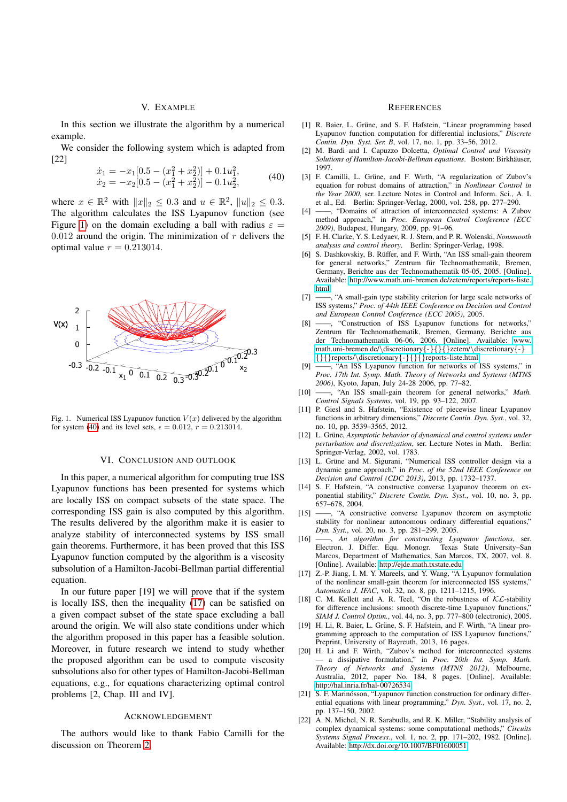## V. EXAMPLE

<span id="page-5-0"></span>In this section we illustrate the algorithm by a numerical example.

We consider the following system which is adapted from [22]

<span id="page-5-2"></span>
$$
\begin{aligned}\n\dot{x}_1 &= -x_1[0.5 - (x_1^2 + x_2^2)] + 0.1u_1^2, \\
\dot{x}_2 &= -x_2[0.5 - (x_1^2 + x_2^2)] - 0.1u_2^2,\n\end{aligned} \tag{40}
$$

where  $x \in \mathbb{R}^2$  with  $||x||_2 \le 0.3$  and  $u \in \mathbb{R}^2$ ,  $||u||_2 \le 0.3$ . The algorithm calculates the ISS Lyapunov function (see Figure [1\)](#page-5-1) on the domain excluding a ball with radius  $\varepsilon =$  $0.012$  around the origin. The minimization of r delivers the optimal value  $r = 0.213014$ .



<span id="page-5-1"></span>Fig. 1. Numerical ISS Lyapunov function  $V(x)$  delivered by the algorithm for system [\(40\)](#page-5-2) and its level sets,  $\epsilon = 0.012$ ,  $r = 0.213014$ .

## VI. CONCLUSION AND OUTLOOK

In this paper, a numerical algorithm for computing true ISS Lyapunov functions has been presented for systems which are locally ISS on compact subsets of the state space. The corresponding ISS gain is also computed by this algorithm. The results delivered by the algorithm make it is easier to analyze stability of interconnected systems by ISS small gain theorems. Furthermore, it has been proved that this ISS Lyapunov function computed by the algorithm is a viscosity subsolution of a Hamilton-Jacobi-Bellman partial differential equation.

In our future paper [19] we will prove that if the system is locally ISS, then the inequality [\(17\)](#page-2-1) can be satisfied on a given compact subset of the state space excluding a ball around the origin. We will also state conditions under which the algorithm proposed in this paper has a feasible solution. Moreover, in future research we intend to study whether the proposed algorithm can be used to compute viscosity subsolutions also for other types of Hamilton-Jacobi-Bellman equations, e.g., for equations characterizing optimal control problems [2, Chap. III and IV].

# ACKNOWLEDGEMENT

The authors would like to thank Fabio Camilli for the discussion on Theorem [2.](#page-4-6)

### **REFERENCES**

- [1] R. Baier, L. Grüne, and S. F. Hafstein, "Linear programming based Lyapunov function computation for differential inclusions," *Discrete Contin. Dyn. Syst. Ser. B*, vol. 17, no. 1, pp. 33–56, 2012.
- [2] M. Bardi and I. Capuzzo Dolcetta, *Optimal Control and Viscosity Solutions of Hamilton-Jacobi-Bellman equations*. Boston: Birkhauser, ¨ 1997.
- [3] F. Camilli, L. Grüne, and F. Wirth, "A regularization of Zubov's equation for robust domains of attraction," in *Nonlinear Control in the Year 2000*, ser. Lecture Notes in Control and Inform. Sci., A. I. et al., Ed. Berlin: Springer-Verlag, 2000, vol. 258, pp. 277–290.
- -, "Domains of attraction of interconnected systems: A Zubov method approach," in *Proc. European Control Conference (ECC 2009)*, Budapest, Hungary, 2009, pp. 91–96.
- [5] F. H. Clarke, Y. S. Ledyaev, R. J. Stern, and P. R. Wolenski, *Nonsmooth analysis and control theory*. Berlin: Springer-Verlag, 1998.
- [6] S. Dashkovskiy, B. Rüffer, and F. Wirth, "An ISS small-gain theorem for general networks," Zentrum für Technomathematik, Bremen, Germany, Berichte aus der Technomathematik 05-05, 2005. [Online]. Available: [http://www.math.uni-bremen.de/zetem/reports/reports-liste.](http://www.math.uni-bremen.de/zetem/reports/reports-liste.html) [html](http://www.math.uni-bremen.de/zetem/reports/reports-liste.html)
- [7] ——, "A small-gain type stability criterion for large scale networks of ISS systems," *Proc. of 44th IEEE Conference on Decision and Control and European Control Conference (ECC 2005)*, 2005.
- [8] ——, "Construction of ISS Lyapunov functions for networks," Zentrum für Technomathematik, Bremen, Germany, Berichte aus der Technomathematik 06-06, 2006. [Online]. Available: [www.](www.math.uni-bremen.de/\discretionary {-}{}{}zetem/\discretionary {-}{}{}reports/\discretionary {-}{}{}reports-liste.html) [math.uni-bremen.de/](www.math.uni-bremen.de/\discretionary {-}{}{}zetem/\discretionary {-}{}{}reports/\discretionary {-}{}{}reports-liste.html)\discretionary{-}{}{}zetem/\discretionary{-} {}{}reports/\discretionary{-}{}{}[reports-liste.html](www.math.uni-bremen.de/\discretionary {-}{}{}zetem/\discretionary {-}{}{}reports/\discretionary {-}{}{}reports-liste.html)
- [9] ——, "An ISS Lyapunov function for networks of ISS systems," in *Proc. 17th Int. Symp. Math. Theory of Networks and Systems (MTNS 2006)*, Kyoto, Japan, July 24-28 2006, pp. 77–82.
- [10] ——, "An ISS small-gain theorem for general networks," *Math. Control Signals Systems*, vol. 19, pp. 93–122, 2007.
- [11] P. Giesl and S. Hafstein, "Existence of piecewise linear Lyapunov functions in arbitrary dimensions," *Discrete Contin. Dyn. Syst.*, vol. 32, no. 10, pp. 3539–3565, 2012.
- [12] L. Grüne, Asymptotic behavior of dynamical and control systems under *perturbation and discretization*, ser. Lecture Notes in Math. Berlin: Springer-Verlag, 2002, vol. 1783.
- [13] L. Grüne and M. Sigurani, "Numerical ISS controller design via a dynamic game approach," in *Proc. of the 52nd IEEE Conference on Decision and Control (CDC 2013)*, 2013, pp. 1732–1737.
- [14] S. F. Hafstein, "A constructive converse Lyapunov theorem on exponential stability," *Discrete Contin. Dyn. Syst.*, vol. 10, no. 3, pp. 657–678, 2004.
- [15] ——, "A constructive converse Lyapunov theorem on asymptotic stability for nonlinear autonomous ordinary differential equations," *Dyn. Syst.*, vol. 20, no. 3, pp. 281–299, 2005.
- [16] ——, *An algorithm for constructing Lyapunov functions*, ser. Electron. J. Differ. Equ. Monogr. Texas State University–San Marcos, Department of Mathematics, San Marcos, TX, 2007, vol. 8. [Online]. Available:<http://ejde.math.txstate.edu>
- [17] Z.-P. Jiang, I. M. Y. Mareels, and Y. Wang, "A Lyapunov formulation of the nonlinear small-gain theorem for interconnected ISS systems," *Automatica J. IFAC*, vol. 32, no. 8, pp. 1211–1215, 1996.
- [18] C. M. Kellett and A. R. Teel, "On the robustness of  $K\mathcal{L}$ -stability for difference inclusions: smooth discrete-time Lyapunov functions, *SIAM J. Control Optim.*, vol. 44, no. 3, pp. 777–800 (electronic), 2005.
- [19] H. Li, R. Baier, L. Grüne, S. F. Hafstein, and F. Wirth, "A linear programming approach to the computation of ISS Lyapunov functions," Preprint, University of Bayreuth, 2013, 16 pages.
- [20] H. Li and F. Wirth, "Zubov's method for interconnected systems — a dissipative formulation," in *Proc. 20th Int. Symp. Math. Theory of Networks and Systems (MTNS 2012)*, Melbourne, Australia, 2012, paper No. 184, 8 pages. [Online]. Available: <http://hal.inria.fr/hal-00726534>
- [21] S. F. Marinósson, "Lyapunov function construction for ordinary differential equations with linear programming," *Dyn. Syst.*, vol. 17, no. 2, pp. 137–150, 2002.
- [22] A. N. Michel, N. R. Sarabudla, and R. K. Miller, "Stability analysis of complex dynamical systems: some computational methods," *Circuits Systems Signal Process.*, vol. 1, no. 2, pp. 171–202, 1982. [Online]. Available:<http://dx.doi.org/10.1007/BF01600051>